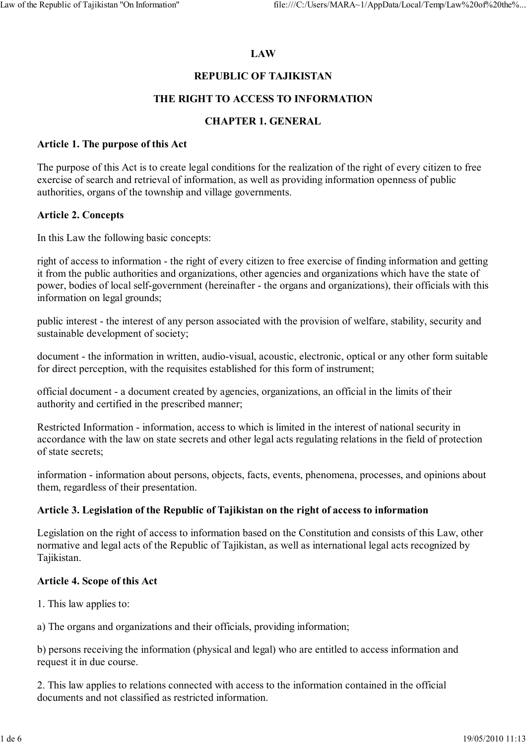# **LAW**

# **REPUBLIC OF TAJIKISTAN**

### **THE RIGHT TO ACCESS TO INFORMATION**

### **CHAPTER 1. GENERAL**

#### **Article 1. The purpose of this Act**

The purpose of this Act is to create legal conditions for the realization of the right of every citizen to free exercise of search and retrieval of information, as well as providing information openness of public authorities, organs of the township and village governments.

#### **Article 2. Concepts**

In this Law the following basic concepts:

right of access to information - the right of every citizen to free exercise of finding information and getting it from the public authorities and organizations, other agencies and organizations which have the state of power, bodies of local self-government (hereinafter - the organs and organizations), their officials with this information on legal grounds;

public interest - the interest of any person associated with the provision of welfare, stability, security and sustainable development of society;

document - the information in written, audio-visual, acoustic, electronic, optical or any other form suitable for direct perception, with the requisites established for this form of instrument;

official document - a document created by agencies, organizations, an official in the limits of their authority and certified in the prescribed manner;

Restricted Information - information, access to which is limited in the interest of national security in accordance with the law on state secrets and other legal acts regulating relations in the field of protection of state secrets;

information - information about persons, objects, facts, events, phenomena, processes, and opinions about them, regardless of their presentation.

### **Article 3. Legislation of the Republic of Tajikistan on the right of access to information**

Legislation on the right of access to information based on the Constitution and consists of this Law, other normative and legal acts of the Republic of Tajikistan, as well as international legal acts recognized by Tajikistan.

#### **Article 4. Scope of this Act**

1. This law applies to:

a) The organs and organizations and their officials, providing information;

b) persons receiving the information (physical and legal) who are entitled to access information and request it in due course.

2. This law applies to relations connected with access to the information contained in the official documents and not classified as restricted information.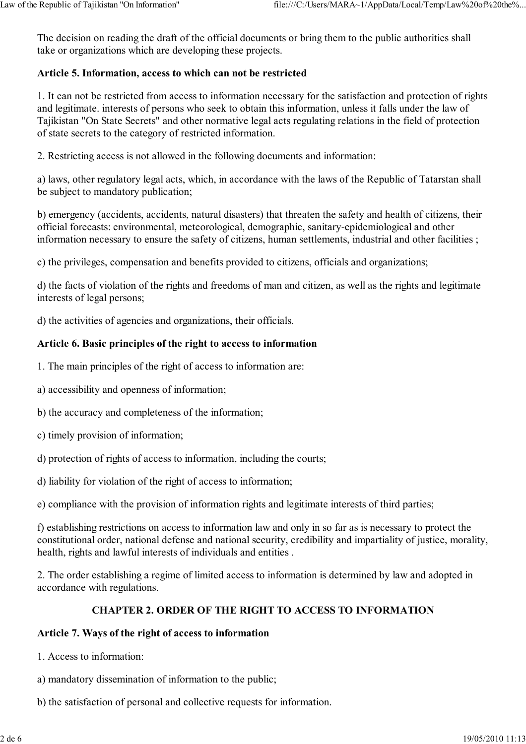The decision on reading the draft of the official documents or bring them to the public authorities shall take or organizations which are developing these projects.

# **Article 5. Information, access to which can not be restricted**

1. It can not be restricted from access to information necessary for the satisfaction and protection of rights and legitimate. interests of persons who seek to obtain this information, unless it falls under the law of Tajikistan "On State Secrets" and other normative legal acts regulating relations in the field of protection of state secrets to the category of restricted information.

2. Restricting access is not allowed in the following documents and information:

a) laws, other regulatory legal acts, which, in accordance with the laws of the Republic of Tatarstan shall be subject to mandatory publication;

b) emergency (accidents, accidents, natural disasters) that threaten the safety and health of citizens, their official forecasts: environmental, meteorological, demographic, sanitary-epidemiological and other information necessary to ensure the safety of citizens, human settlements, industrial and other facilities ;

c) the privileges, compensation and benefits provided to citizens, officials and organizations;

d) the facts of violation of the rights and freedoms of man and citizen, as well as the rights and legitimate interests of legal persons;

d) the activities of agencies and organizations, their officials.

## **Article 6. Basic principles of the right to access to information**

1. The main principles of the right of access to information are:

a) accessibility and openness of information;

b) the accuracy and completeness of the information;

c) timely provision of information;

d) protection of rights of access to information, including the courts;

d) liability for violation of the right of access to information;

e) compliance with the provision of information rights and legitimate interests of third parties;

f) establishing restrictions on access to information law and only in so far as is necessary to protect the constitutional order, national defense and national security, credibility and impartiality of justice, morality, health, rights and lawful interests of individuals and entities .

2. The order establishing a regime of limited access to information is determined by law and adopted in accordance with regulations.

### **CHAPTER 2. ORDER OF THE RIGHT TO ACCESS TO INFORMATION**

### **Article 7. Ways of the right of access to information**

- 1. Access to information:
- a) mandatory dissemination of information to the public;
- b) the satisfaction of personal and collective requests for information.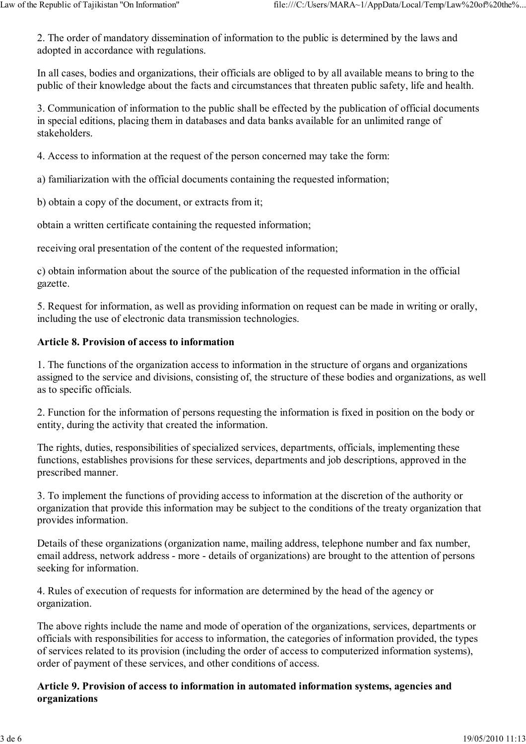2. The order of mandatory dissemination of information to the public is determined by the laws and adopted in accordance with regulations.

In all cases, bodies and organizations, their officials are obliged to by all available means to bring to the public of their knowledge about the facts and circumstances that threaten public safety, life and health.

3. Communication of information to the public shall be effected by the publication of official documents in special editions, placing them in databases and data banks available for an unlimited range of stakeholders.

4. Access to information at the request of the person concerned may take the form:

a) familiarization with the official documents containing the requested information;

b) obtain a copy of the document, or extracts from it;

obtain a written certificate containing the requested information;

receiving oral presentation of the content of the requested information;

c) obtain information about the source of the publication of the requested information in the official gazette.

5. Request for information, as well as providing information on request can be made in writing or orally, including the use of electronic data transmission technologies.

### **Article 8. Provision of access to information**

1. The functions of the organization access to information in the structure of organs and organizations assigned to the service and divisions, consisting of, the structure of these bodies and organizations, as well as to specific officials.

2. Function for the information of persons requesting the information is fixed in position on the body or entity, during the activity that created the information.

The rights, duties, responsibilities of specialized services, departments, officials, implementing these functions, establishes provisions for these services, departments and job descriptions, approved in the prescribed manner.

3. To implement the functions of providing access to information at the discretion of the authority or organization that provide this information may be subject to the conditions of the treaty organization that provides information.

Details of these organizations (organization name, mailing address, telephone number and fax number, email address, network address - more - details of organizations) are brought to the attention of persons seeking for information.

4. Rules of execution of requests for information are determined by the head of the agency or organization.

The above rights include the name and mode of operation of the organizations, services, departments or officials with responsibilities for access to information, the categories of information provided, the types of services related to its provision (including the order of access to computerized information systems), order of payment of these services, and other conditions of access.

## **Article 9. Provision of access to information in automated information systems, agencies and organizations**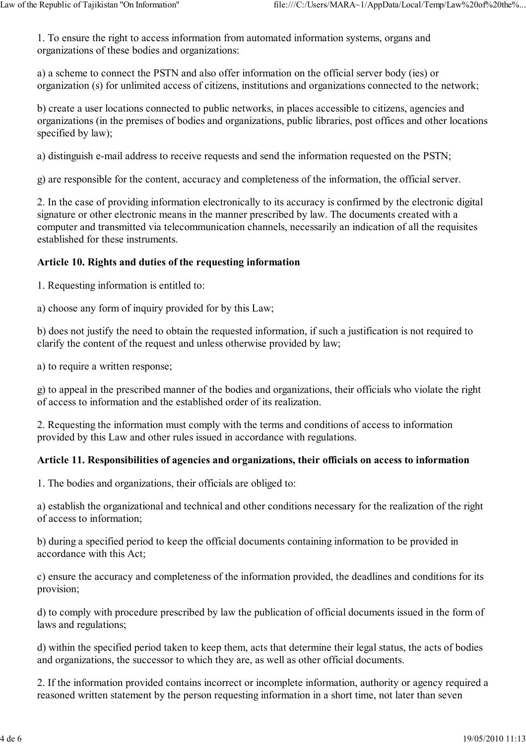1. To ensure the right to access information from automated information systems, organs and organizations of these bodies and organizations:

a) a scheme to connect the PSTN and also offer information on the official server body (ies) or organization (s) for unlimited access of citizens, institutions and organizations connected to the network;

b) create a user locations connected to public networks, in places accessible to citizens, agencies and organizations (in the premises of bodies and organizations, public libraries, post offices and other locations specified by law);

a) distinguish e-mail address to receive requests and send the information requested on the PSTN;

g) are responsible for the content, accuracy and completeness of the information, the official server.

2. In the case of providing information electronically to its accuracy is confirmed by the electronic digital signature or other electronic means in the manner prescribed by law. The documents created with a computer and transmitted via telecommunication channels, necessarily an indication of all the requisites established for these instruments.

## **Article 10. Rights and duties of the requesting information**

1. Requesting information is entitled to:

a) choose any form of inquiry provided for by this Law;

b) does not justify the need to obtain the requested information, if such a justification is not required to clarify the content of the request and unless otherwise provided by law;

a) to require a written response;

g) to appeal in the prescribed manner of the bodies and organizations, their officials who violate the right of access to information and the established order of its realization.

2. Requesting the information must comply with the terms and conditions of access to information provided by this Law and other rules issued in accordance with regulations.

# **Article 11. Responsibilities of agencies and organizations, their officials on access to information**

1. The bodies and organizations, their officials are obliged to:

a) establish the organizational and technical and other conditions necessary for the realization of the right of access to information;

b) during a specified period to keep the official documents containing information to be provided in accordance with this Act;

c) ensure the accuracy and completeness of the information provided, the deadlines and conditions for its provision;

d) to comply with procedure prescribed by law the publication of official documents issued in the form of laws and regulations;

d) within the specified period taken to keep them, acts that determine their legal status, the acts of bodies and organizations, the successor to which they are, as well as other official documents.

2. If the information provided contains incorrect or incomplete information, authority or agency required a reasoned written statement by the person requesting information in a short time, not later than seven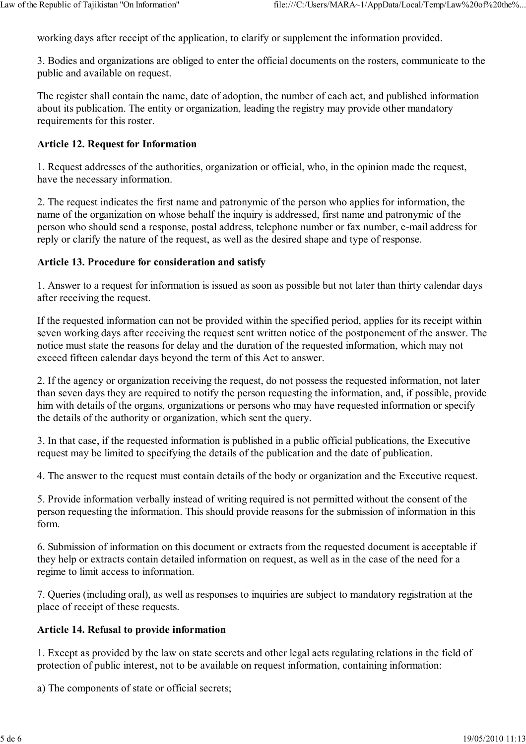working days after receipt of the application, to clarify or supplement the information provided.

3. Bodies and organizations are obliged to enter the official documents on the rosters, communicate to the public and available on request.

The register shall contain the name, date of adoption, the number of each act, and published information about its publication. The entity or organization, leading the registry may provide other mandatory requirements for this roster.

## **Article 12. Request for Information**

1. Request addresses of the authorities, organization or official, who, in the opinion made the request, have the necessary information.

2. The request indicates the first name and patronymic of the person who applies for information, the name of the organization on whose behalf the inquiry is addressed, first name and patronymic of the person who should send a response, postal address, telephone number or fax number, e-mail address for reply or clarify the nature of the request, as well as the desired shape and type of response.

#### **Article 13. Procedure for consideration and satisfy**

1. Answer to a request for information is issued as soon as possible but not later than thirty calendar days after receiving the request.

If the requested information can not be provided within the specified period, applies for its receipt within seven working days after receiving the request sent written notice of the postponement of the answer. The notice must state the reasons for delay and the duration of the requested information, which may not exceed fifteen calendar days beyond the term of this Act to answer.

2. If the agency or organization receiving the request, do not possess the requested information, not later than seven days they are required to notify the person requesting the information, and, if possible, provide him with details of the organs, organizations or persons who may have requested information or specify the details of the authority or organization, which sent the query.

3. In that case, if the requested information is published in a public official publications, the Executive request may be limited to specifying the details of the publication and the date of publication.

4. The answer to the request must contain details of the body or organization and the Executive request.

5. Provide information verbally instead of writing required is not permitted without the consent of the person requesting the information. This should provide reasons for the submission of information in this form.

6. Submission of information on this document or extracts from the requested document is acceptable if they help or extracts contain detailed information on request, as well as in the case of the need for a regime to limit access to information.

7. Queries (including oral), as well as responses to inquiries are subject to mandatory registration at the place of receipt of these requests.

### **Article 14. Refusal to provide information**

1. Except as provided by the law on state secrets and other legal acts regulating relations in the field of protection of public interest, not to be available on request information, containing information:

a) The components of state or official secrets;